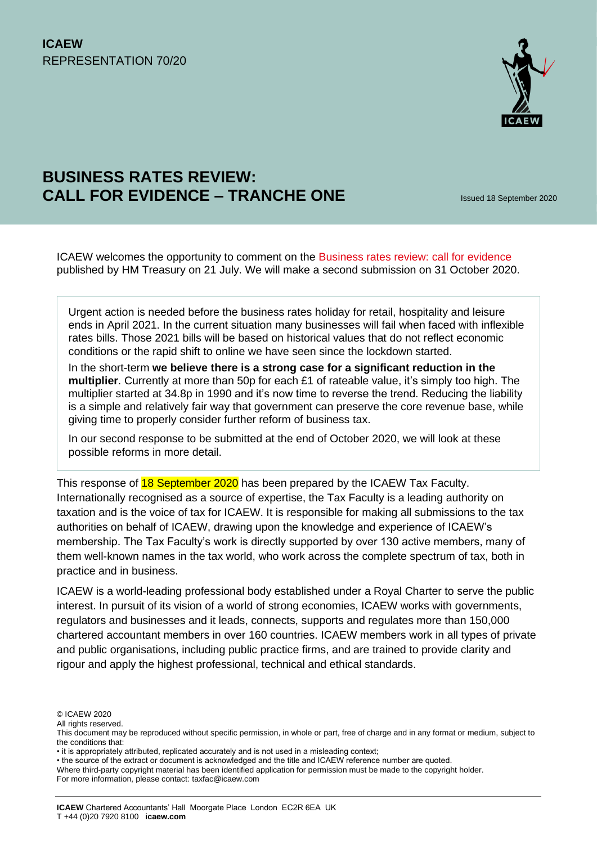

# **BUSINESS RATES REVIEW: CALL FOR EVIDENCE – TRANCHE ONE**

ICAEW welcomes the opportunity to comment on the [Business rates review: call for evidence](https://www.gov.uk/government/consultations/hm-treasury-fundamental-review-of-business-rates-call-for-evidence) published by HM Treasury on 21 July. We will make a second submission on 31 October 2020.

Urgent action is needed before the business rates holiday for retail, hospitality and leisure ends in April 2021. In the current situation many businesses will fail when faced with inflexible rates bills. Those 2021 bills will be based on historical values that do not reflect economic conditions or the rapid shift to online we have seen since the lockdown started.

In the short-term **we believe there is a strong case for a significant reduction in the multiplier**. Currently at more than 50p for each £1 of rateable value, it's simply too high. The multiplier started at 34.8p in 1990 and it's now time to reverse the trend. Reducing the liability is a simple and relatively fair way that government can preserve the core revenue base, while giving time to properly consider further reform of business tax.

In our second response to be submitted at the end of October 2020, we will look at these possible reforms in more detail.

This response of 18 September 2020 has been prepared by the ICAEW Tax Faculty. Internationally recognised as a source of expertise, the Tax Faculty is a leading authority on taxation and is the voice of tax for ICAEW. It is responsible for making all submissions to the tax authorities on behalf of ICAEW, drawing upon the knowledge and experience of ICAEW's membership. The Tax Faculty's work is directly supported by over 130 active members, many of them well-known names in the tax world, who work across the complete spectrum of tax, both in practice and in business.

ICAEW is a world-leading professional body established under a Royal Charter to serve the public interest. In pursuit of its vision of a world of strong economies, ICAEW works with governments, regulators and businesses and it leads, connects, supports and regulates more than 150,000 chartered accountant members in over 160 countries. ICAEW members work in all types of private and public organisations, including public practice firms, and are trained to provide clarity and rigour and apply the highest professional, technical and ethical standards.

<sup>©</sup> ICAEW 2020

All rights reserved.

This document may be reproduced without specific permission, in whole or part, free of charge and in any format or medium, subject to the conditions that:

<sup>•</sup> it is appropriately attributed, replicated accurately and is not used in a misleading context;

<sup>•</sup> the source of the extract or document is acknowledged and the title and ICAEW reference number are quoted.

Where third-party copyright material has been identified application for permission must be made to the copyright holder.

For more information, please contact: taxfac@icaew.com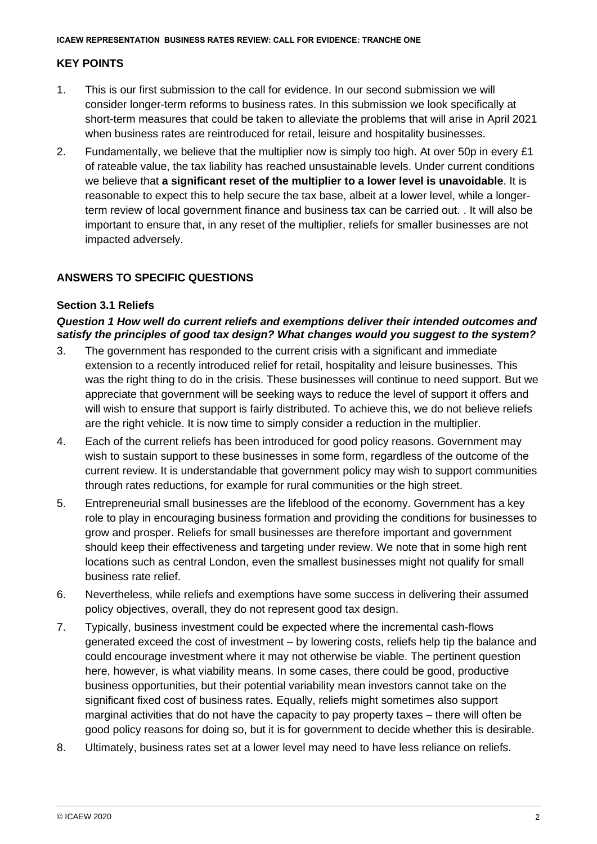# **KEY POINTS**

- 1. This is our first submission to the call for evidence. In our second submission we will consider longer-term reforms to business rates. In this submission we look specifically at short-term measures that could be taken to alleviate the problems that will arise in April 2021 when business rates are reintroduced for retail, leisure and hospitality businesses.
- 2. Fundamentally, we believe that the multiplier now is simply too high. At over 50p in every £1 of rateable value, the tax liability has reached unsustainable levels. Under current conditions we believe that **a significant reset of the multiplier to a lower level is unavoidable**. It is reasonable to expect this to help secure the tax base, albeit at a lower level, while a longerterm review of local government finance and business tax can be carried out. . It will also be important to ensure that, in any reset of the multiplier, reliefs for smaller businesses are not impacted adversely.

# **ANSWERS TO SPECIFIC QUESTIONS**

#### **Section 3.1 Reliefs**

#### *Question 1 How well do current reliefs and exemptions deliver their intended outcomes and satisfy the principles of good tax design? What changes would you suggest to the system?*

- 3. The government has responded to the current crisis with a significant and immediate extension to a recently introduced relief for retail, hospitality and leisure businesses. This was the right thing to do in the crisis. These businesses will continue to need support. But we appreciate that government will be seeking ways to reduce the level of support it offers and will wish to ensure that support is fairly distributed. To achieve this, we do not believe reliefs are the right vehicle. It is now time to simply consider a reduction in the multiplier.
- 4. Each of the current reliefs has been introduced for good policy reasons. Government may wish to sustain support to these businesses in some form, regardless of the outcome of the current review. It is understandable that government policy may wish to support communities through rates reductions, for example for rural communities or the high street.
- 5. Entrepreneurial small businesses are the lifeblood of the economy. Government has a key role to play in encouraging business formation and providing the conditions for businesses to grow and prosper. Reliefs for small businesses are therefore important and government should keep their effectiveness and targeting under review. We note that in some high rent locations such as central London, even the smallest businesses might not qualify for small business rate relief.
- 6. Nevertheless, while reliefs and exemptions have some success in delivering their assumed policy objectives, overall, they do not represent good tax design.
- 7. Typically, business investment could be expected where the incremental cash-flows generated exceed the cost of investment – by lowering costs, reliefs help tip the balance and could encourage investment where it may not otherwise be viable. The pertinent question here, however, is what viability means. In some cases, there could be good, productive business opportunities, but their potential variability mean investors cannot take on the significant fixed cost of business rates. Equally, reliefs might sometimes also support marginal activities that do not have the capacity to pay property taxes – there will often be good policy reasons for doing so, but it is for government to decide whether this is desirable.
- 8. Ultimately, business rates set at a lower level may need to have less reliance on reliefs.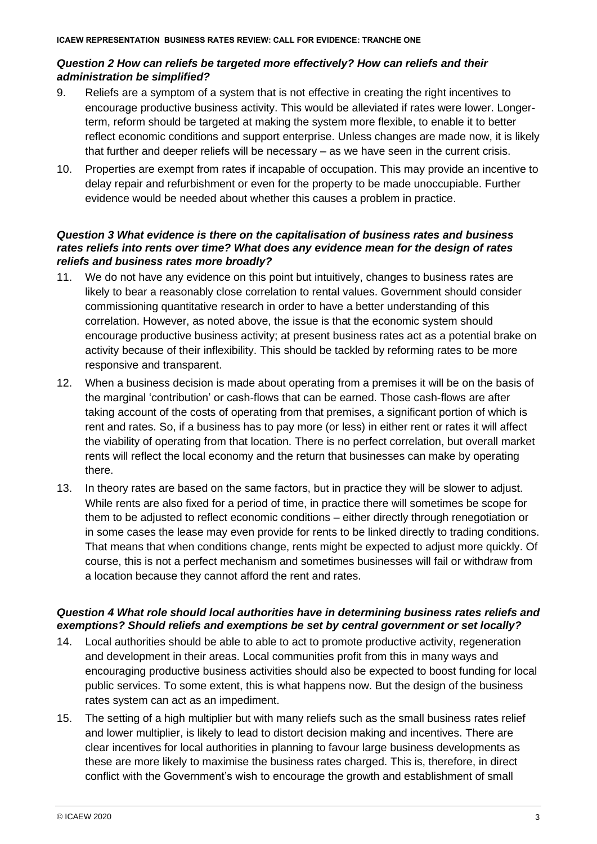#### *Question 2 How can reliefs be targeted more effectively? How can reliefs and their administration be simplified?*

- 9. Reliefs are a symptom of a system that is not effective in creating the right incentives to encourage productive business activity. This would be alleviated if rates were lower. Longerterm, reform should be targeted at making the system more flexible, to enable it to better reflect economic conditions and support enterprise. Unless changes are made now, it is likely that further and deeper reliefs will be necessary – as we have seen in the current crisis.
- 10. Properties are exempt from rates if incapable of occupation. This may provide an incentive to delay repair and refurbishment or even for the property to be made unoccupiable. Further evidence would be needed about whether this causes a problem in practice.

#### *Question 3 What evidence is there on the capitalisation of business rates and business rates reliefs into rents over time? What does any evidence mean for the design of rates reliefs and business rates more broadly?*

- 11. We do not have any evidence on this point but intuitively, changes to business rates are likely to bear a reasonably close correlation to rental values. Government should consider commissioning quantitative research in order to have a better understanding of this correlation. However, as noted above, the issue is that the economic system should encourage productive business activity; at present business rates act as a potential brake on activity because of their inflexibility. This should be tackled by reforming rates to be more responsive and transparent.
- 12. When a business decision is made about operating from a premises it will be on the basis of the marginal 'contribution' or cash-flows that can be earned. Those cash-flows are after taking account of the costs of operating from that premises, a significant portion of which is rent and rates. So, if a business has to pay more (or less) in either rent or rates it will affect the viability of operating from that location. There is no perfect correlation, but overall market rents will reflect the local economy and the return that businesses can make by operating there.
- 13. In theory rates are based on the same factors, but in practice they will be slower to adjust. While rents are also fixed for a period of time, in practice there will sometimes be scope for them to be adjusted to reflect economic conditions – either directly through renegotiation or in some cases the lease may even provide for rents to be linked directly to trading conditions. That means that when conditions change, rents might be expected to adjust more quickly. Of course, this is not a perfect mechanism and sometimes businesses will fail or withdraw from a location because they cannot afford the rent and rates.

#### *Question 4 What role should local authorities have in determining business rates reliefs and exemptions? Should reliefs and exemptions be set by central government or set locally?*

- 14. Local authorities should be able to able to act to promote productive activity, regeneration and development in their areas. Local communities profit from this in many ways and encouraging productive business activities should also be expected to boost funding for local public services. To some extent, this is what happens now. But the design of the business rates system can act as an impediment.
- 15. The setting of a high multiplier but with many reliefs such as the small business rates relief and lower multiplier, is likely to lead to distort decision making and incentives. There are clear incentives for local authorities in planning to favour large business developments as these are more likely to maximise the business rates charged. This is, therefore, in direct conflict with the Government's wish to encourage the growth and establishment of small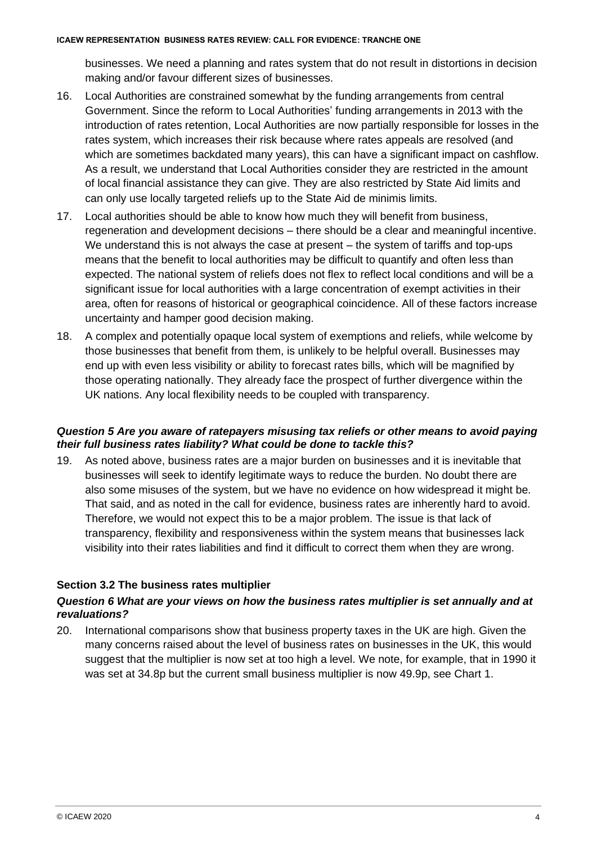businesses. We need a planning and rates system that do not result in distortions in decision making and/or favour different sizes of businesses.

- 16. Local Authorities are constrained somewhat by the funding arrangements from central Government. Since the reform to Local Authorities' funding arrangements in 2013 with the introduction of rates retention, Local Authorities are now partially responsible for losses in the rates system, which increases their risk because where rates appeals are resolved (and which are sometimes backdated many years), this can have a significant impact on cashflow. As a result, we understand that Local Authorities consider they are restricted in the amount of local financial assistance they can give. They are also restricted by State Aid limits and can only use locally targeted reliefs up to the State Aid de minimis limits.
- 17. Local authorities should be able to know how much they will benefit from business, regeneration and development decisions – there should be a clear and meaningful incentive. We understand this is not always the case at present – the system of tariffs and top-ups means that the benefit to local authorities may be difficult to quantify and often less than expected. The national system of reliefs does not flex to reflect local conditions and will be a significant issue for local authorities with a large concentration of exempt activities in their area, often for reasons of historical or geographical coincidence. All of these factors increase uncertainty and hamper good decision making.
- 18. A complex and potentially opaque local system of exemptions and reliefs, while welcome by those businesses that benefit from them, is unlikely to be helpful overall. Businesses may end up with even less visibility or ability to forecast rates bills, which will be magnified by those operating nationally. They already face the prospect of further divergence within the UK nations. Any local flexibility needs to be coupled with transparency.

#### *Question 5 Are you aware of ratepayers misusing tax reliefs or other means to avoid paying their full business rates liability? What could be done to tackle this?*

19. As noted above, business rates are a major burden on businesses and it is inevitable that businesses will seek to identify legitimate ways to reduce the burden. No doubt there are also some misuses of the system, but we have no evidence on how widespread it might be. That said, and as noted in the call for evidence, business rates are inherently hard to avoid. Therefore, we would not expect this to be a major problem. The issue is that lack of transparency, flexibility and responsiveness within the system means that businesses lack visibility into their rates liabilities and find it difficult to correct them when they are wrong.

# **Section 3.2 The business rates multiplier**

#### *Question 6 What are your views on how the business rates multiplier is set annually and at revaluations?*

20. International comparisons show that business property taxes in the UK are high. Given the many concerns raised about the level of business rates on businesses in the UK, this would suggest that the multiplier is now set at too high a level. We note, for example, that in 1990 it was set at 34.8p but the current small business multiplier is now 49.9p, see Chart 1.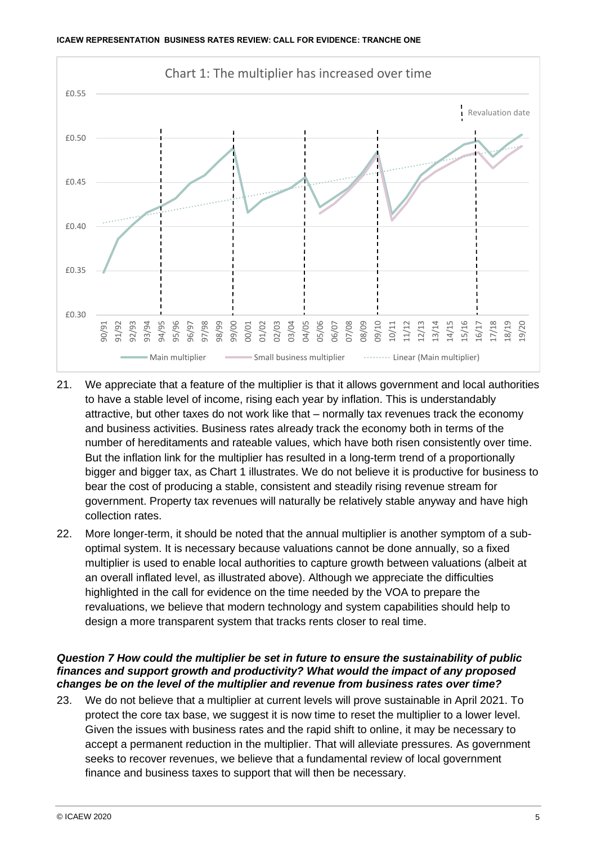

- 21. We appreciate that a feature of the multiplier is that it allows government and local authorities to have a stable level of income, rising each year by inflation. This is understandably attractive, but other taxes do not work like that – normally tax revenues track the economy and business activities. Business rates already track the economy both in terms of the number of hereditaments and rateable values, which have both risen consistently over time. But the inflation link for the multiplier has resulted in a long-term trend of a proportionally bigger and bigger tax, as Chart 1 illustrates. We do not believe it is productive for business to bear the cost of producing a stable, consistent and steadily rising revenue stream for government. Property tax revenues will naturally be relatively stable anyway and have high collection rates.
- 22. More longer-term, it should be noted that the annual multiplier is another symptom of a suboptimal system. It is necessary because valuations cannot be done annually, so a fixed multiplier is used to enable local authorities to capture growth between valuations (albeit at an overall inflated level, as illustrated above). Although we appreciate the difficulties highlighted in the call for evidence on the time needed by the VOA to prepare the revaluations, we believe that modern technology and system capabilities should help to design a more transparent system that tracks rents closer to real time.

### *Question 7 How could the multiplier be set in future to ensure the sustainability of public finances and support growth and productivity? What would the impact of any proposed changes be on the level of the multiplier and revenue from business rates over time?*

23. We do not believe that a multiplier at current levels will prove sustainable in April 2021. To protect the core tax base, we suggest it is now time to reset the multiplier to a lower level. Given the issues with business rates and the rapid shift to online, it may be necessary to accept a permanent reduction in the multiplier. That will alleviate pressures. As government seeks to recover revenues, we believe that a fundamental review of local government finance and business taxes to support that will then be necessary.